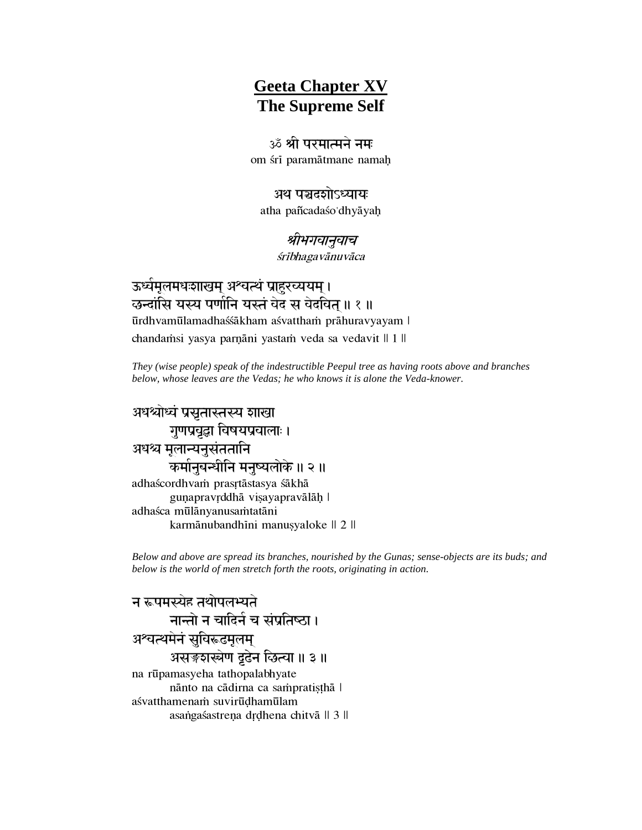# **Geeta Chapter XV The Supreme Self**

#### ॐ **श्री परमात्मने नमः**

om śrī paramātmane namah

#### अथ पञ्चदशोऽध्यायः

atha pañcadaśo'dhyāyaḥ

™a<br>ībhagavānuvāc ¤IB]g]v≈n∂v≈c]

ऊर्ध्वमूलमधःशाखम् अश्वत्थं प्राहरव्ययम् । छन्दांसि यस्य पर्णानि यस्तं वेद स वेदवित् ॥ १ ॥ ūrdhvamūlamadhaśśākham aśvattham prāhuravyayam | chandamsi yasya parṇāni yastam veda sa vedavit || 1 ||

*They (wise people) speak of the indestructible Peepul tree as having roots above and branches below, whose leaves are the Vedas; he who knows it is alone the Veda-knower.*

अधश्योध्वं प्रसृतास्तस्य शाखा गुणप्रवृद्धा विषयप्रवालाः । अधश्य मूलान्यनुसंततानि कर्मानुबन्धीनि मनुष्यलोके ॥ २ ॥ adhaścordhvam prasrtāstasya śākhā gunapravrddhā visayapravālāh | adhaśca mūlānyanusamtatāni karmānubandhīni manusyaloke || 2 ||

*Below and above are spread its branches, nourished by the Gunas; sense-objects are its buds; and below is the world of men stretch forth the roots, originating in action.* 

न रूपमस्येह तथोपलभ्यते नान्तो न चादिन च संप्रतिष्ठा। अश्वत्थमेनं सुविरूढमूलम् असङ़शस्त्रेण दूढेन छित्वा ॥ ३ ॥ na rūpamasyeha tathopalabhyate nānto na cādirna ca sampratisthā | aśvatthamenam suvirūdhamūlam asangaśastrena drdhena chitvā || 3 ||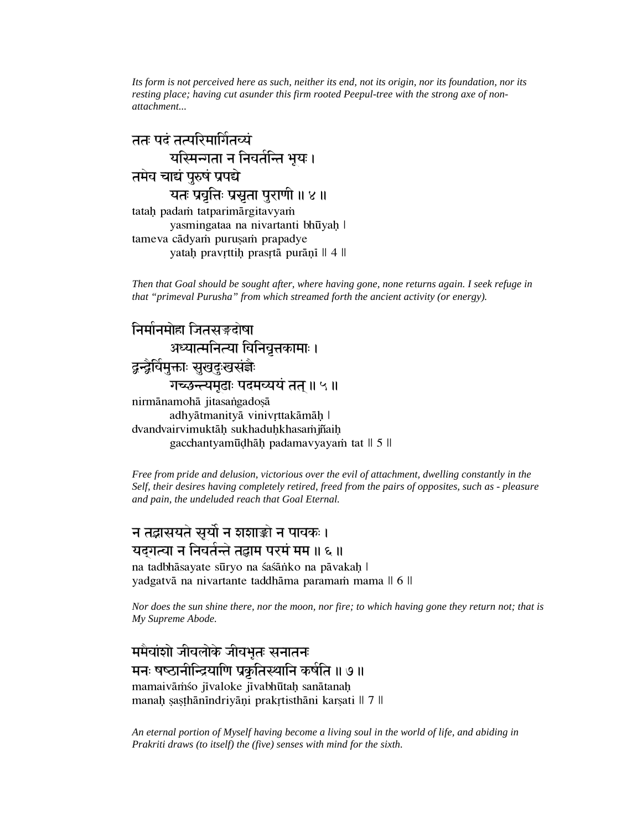*Its form is not perceived here as such, neither its end, not its origin, nor its foundation, nor its resting place; having cut asunder this firm rooted Peepul-tree with the strong axe of nonattachment...* 

ततः पदं तत्परिमार्गित**व्यं** यस्मिन्गता न निवर्तन्ति भूयः । तमेव चाद्यं पुरुषं प्रपद्ये यतः प्रवृत्तिः प्रसृता पुराणी ॥ ४ ॥ tatah padam tatparimārgitavyam yasmingataa na nivartanti bhūyah l tameva cādyam purusam prapadye yatah pravrttih prasrtā purāņī || 4 ||

*Then that Goal should be sought after, where having gone, none returns again. I seek refuge in that "primeval Purusha" from which streamed forth the ancient activity (or energy).* 

निर्मानमोहा जितसङ्खोषा अध्यात्मनित्या विनिवृत्तकामाः । द्वन्द्वैर्विमुक्ताः सुखदुःखसंज्ञैः गच्छन्त्यमूढाः पदमव्ययं तत् ॥ ५ ॥ nirmānamohā jitasangadosā adhyātmanityā vinivŗttakāmāh | dvandvairvimuktāḥ sukhaduḥkhasam jñaih gacchantyamūḍhāḥ padamavyayam tat || 5 ||

*Free from pride and delusion, victorious over the evil of attachment, dwelling constantly in the Self, their desires having completely retired, freed from the pairs of opposites, such as - pleasure and pain, the undeluded reach that Goal Eternal.* 

न तझसयते सूर्यो न शशाङ्को न पावकः । यदगत्वा न निवर्तन्ते तद्वाम परमं मम ॥ ६ ॥ na tadbhāsayate sūryo na śaśānko na pāvakah | yadgatvā na nivartante taddhāma paramam mama || 6 ||

*Nor does the sun shine there, nor the moon, nor fire; to which having gone they return not; that is My Supreme Abode.* 

ममैवांशो जीवलोके जीवभूतः सनातनः मनः षष्ठानीन्द्रियाणि प्रकृतिस्थानि कर्षति ॥ ७ ॥ mamaivāmso jīvaloke jīvabhūtah sanātanah manah sasthānindriyāņi prakrtisthāni karsati || 7 ||

*An eternal portion of Myself having become a living soul in the world of life, and abiding in Prakriti draws (to itself) the (five) senses with mind for the sixth.*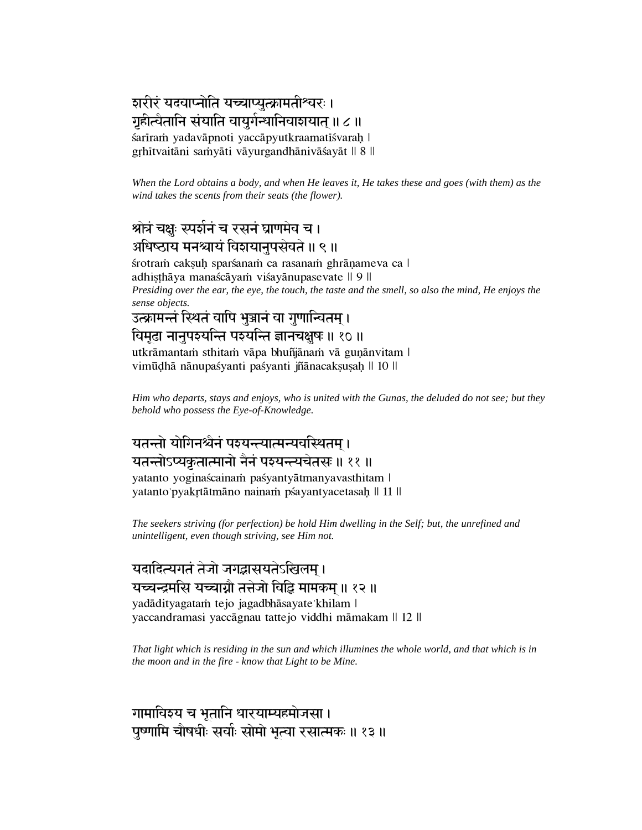#### शरीरं यदवाप्नोति यच्चाप्युत्क्रामतीश्वरः । गृहीत्वैतानि संयाति वायुर्गन्धानिवाशयात् ॥ ८ ॥ śarīram yadavāpnoti yaccāpyutkraamatīśvarah | gŗhītvaitāni samyāti vāyurgandhānivāśayāt || 8 ||

*When the Lord obtains a body, and when He leaves it, He takes these and goes (with them) as the wind takes the scents from their seats (the flower).* 

## श्रोत्रं चक्षः स्पर्शनं च रसनं घ्राणमेव च । अधिष्ठाय मनश्वायं विशयानुपसेवते ॥ ९ ॥

śrotram cakṣuḥ sparśanam ca rasanam ghrāṇameva ca l adhisthāya manaścāyam viśayānupasevate || 9 || *Presiding over the ear, the eye, the touch, the taste and the smell, so also the mind, He enjoys the sense objects.* 

### उत्क्रामन्तं स्थितं वापि भुञ्जानं वा गुणान्वितम ।

विमुदा नानुपश्यन्ति पश्यन्ति ज्ञानचक्षुषः ॥ १० ॥

utkrāmantam sthitam vāpa bhuñjānam vā guņānvitam | vimūdhā nānupaśyanti paśyanti jñānacakṣuṣaḥ || 10 ||

*Him who departs, stays and enjoys, who is united with the Gunas, the deluded do not see; but they behold who possess the Eye-of-Knowledge.* 

## यतन्तो योगिनश्चैनं पश्यन्त्यात्मन्यवस्थितम् । र्यतन्तोऽप्यकृतात्मानो नैनं पश्यन्त्यचेतसः ॥ ११ ॥

yatanto yoginaścainam paśyantyātmanyavasthitam | yatanto'pyakŗtātmāno nainam pśayantyacetasaḥ || 11 ||

*The seekers striving (for perfection) be hold Him dwelling in the Self; but, the unrefined and unintelligent, even though striving, see Him not.* 

यदादित्यगतं तेजो जगद्भासयतेऽखिलम् । यच्चन्द्रमसि यच्चाग्नौ तत्तेजो विद्धि मामकम् ॥ १२ ॥ yadādityagatam tejo jagadbhāsayate'khilam | yaccandramasi yaccāgnau tattejo viddhi māmakam || 12 ||

*That light which is residing in the sun and which illumines the whole world, and that which is in the moon and in the fire - know that Light to be Mine.*

गामावि**श्य च भूतानि धारयाम्यहमोजसा** । पृष्णामि चौषधीः सर्वाः सोमो भूत्वा रसात्मकः ॥ १३ ॥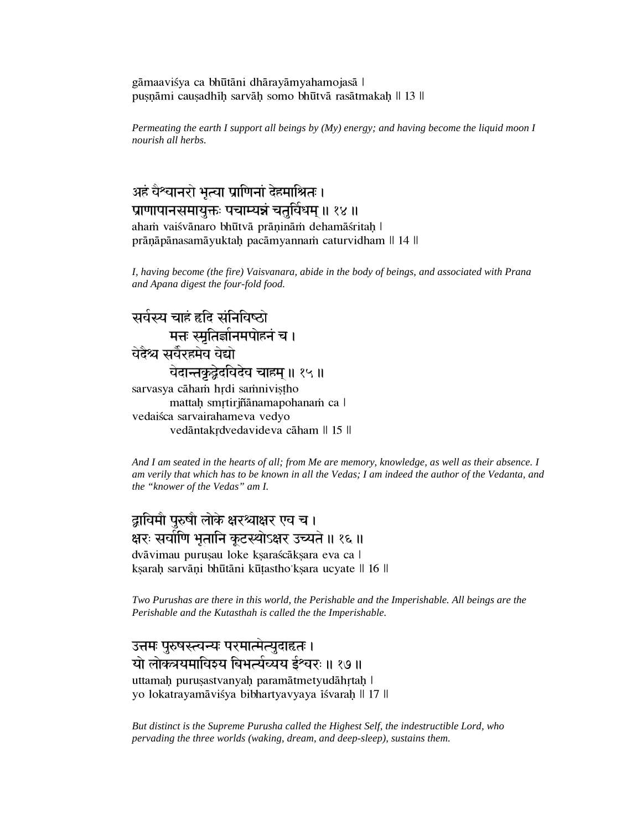gāmaavišya ca bhūtāni dhārayāmyahamojasā∣ pusnāmi causadhīh sarvāh somo bhūtvā rasātmakah || 13 ||

*Permeating the earth I support all beings by (My) energy; and having become the liquid moon I nourish all herbs.* 

अहं वैश्वानरो भृत्वा प्राणिनां देहमाश्रितः । प्राणापानसमायुक्तः पचाम्यन्नं चतुर्विंधम् ॥ १४ ॥ aham vaiśvānaro bhūtvā prāninām dehamāśritah | prāņāpānasamāyuktaḥ pacāmyannaṁ caturvidham || 14 ||

*I, having become (the fire) Vaisvanara, abide in the body of beings, and associated with Prana and Apana digest the four-fold food.* 

सर्वस्य चाहं हृदि संनिविष्ठो मत्तः स्मृतिर्ज्ञानमपोहनं च । चेदैश्य सर्वैरहमेव वेद्यो वेदान्तकुद्वेदविदेव चाहम् ॥ १५ ॥ sarvasya cāham hrdi samnivistho mattah smrtirjñānamapohanam ca l vedaiśca sarvairahameva vedyo vedāntakrdvedavideva cāham || 15 ||

*And I am seated in the hearts of all; from Me are memory, knowledge, as well as their absence. I am verily that which has to be known in all the Vedas; I am indeed the author of the Vedanta, and the "knower of the Vedas" am I.* 

द्वाविमौ पुरुषौ लोके क्षरश्चाक्षर एव च । क्षरः सर्वाणि भृतानि कूटस्थोऽक्षर उच्यते ॥ १६ ॥ dvāvimau puruşau loke kşaraścākşara eva ca l kṣaraḥ sarvāṇi bhūtāni kūṭastho'kṣara ucyate || 16 ||

*Two Purushas are there in this world, the Perishable and the Imperishable. All beings are the Perishable and the Kutasthah is called the the Imperishable.* 

उत्तमः पुरुषस्त्वन्यः परमात्मेत्युदाहृतः । यो लोकत्रयमाविरुय बिभर्त्यव्यय ईश्वरः ॥ १७ ॥ uttamah puruşastvanyah paramātmetyudāhrtah | yo lokatrayamāviśya bibhartyavyaya iśvaraḥ || 17 ||

*But distinct is the Supreme Purusha called the Highest Self, the indestructible Lord, who pervading the three worlds (waking, dream, and deep-sleep), sustains them.*